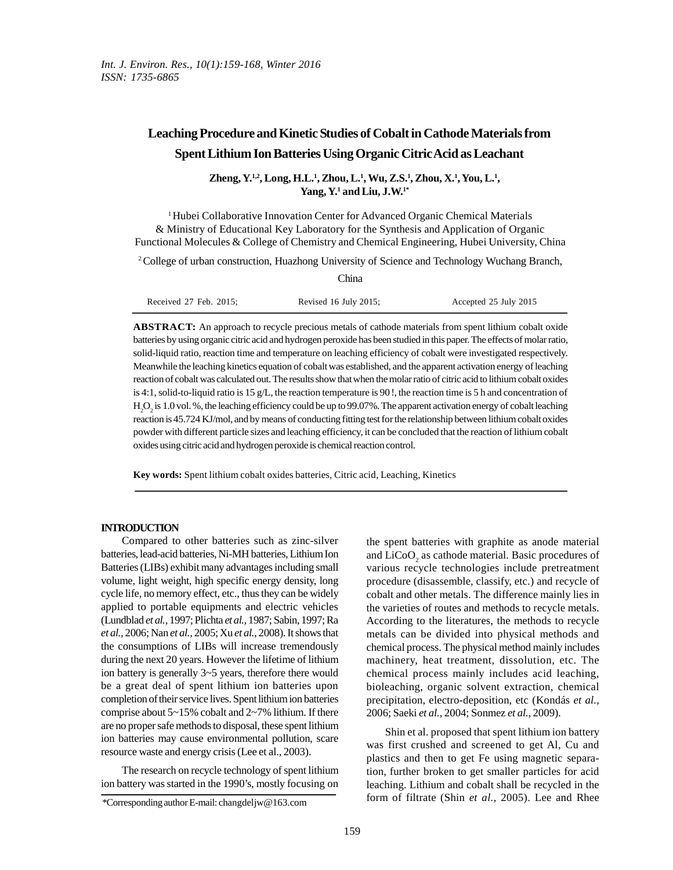# **Leaching Procedure and Kinetic Studies of Cobalt in Cathode Materials from Spent Lithium Ion Batteries Using Organic Citric Acid as Leachant**

## **Zheng, Y.1,2, Long, H.L.<sup>1</sup> , Zhou, L.<sup>1</sup> , Wu, Z.S.<sup>1</sup> , Zhou, X.<sup>1</sup> , You, L.<sup>1</sup> , Yang, Y.<sup>1</sup> and Liu, J.W.1\***

<sup>1</sup>Hubei Collaborative Innovation Center for Advanced Organic Chemical Materials & Ministry of Educational Key Laboratory for the Synthesis and Application of Organic Functional Molecules & College of Chemistry and Chemical Engineering, Hubei University, China

<sup>2</sup>College of urban construction, Huazhong University of Science and Technology Wuchang Branch,

| China                       |                            |                       |  |  |
|-----------------------------|----------------------------|-----------------------|--|--|
| Received $27$ Feb. $2015$ ; | Revised $16$ July $2015$ ; | Accepted 25 July 2015 |  |  |

**ABSTRACT:** An approach to recycle precious metals of cathode materials from spent lithium cobalt oxide batteries by using organic citric acid and hydrogen peroxide has been studied in this paper. The effects of molar ratio, solid-liquid ratio, reaction time and temperature on leaching efficiency of cobalt were investigated respectively. Meanwhile the leaching kinetics equation of cobalt was established, and the apparent activation energy of leaching reaction of cobalt was calculated out. The results show that when the molar ratio of citric acid to lithium cobalt oxides is 4:1, solid-to-liquid ratio is 15 g/L, the reaction temperature is 90 !, the reaction time is 5 h and concentration of  $\rm H_2O_2$  is 1.0 vol. %, the leaching efficiency could be up to 99.07%. The apparent activation energy of cobalt leaching reaction is 45.724 KJ/mol, and by means of conducting fitting test for the relationship between lithium cobalt oxides powder with different particle sizes and leaching efficiency, it can be concluded that the reaction of lithium cobalt oxides using citric acid and hydrogen peroxide is chemical reaction control.

**Key words:** Spent lithium cobalt oxides batteries, Citric acid, Leaching, Kinetics

#### **INTRODUCTION**

Compared to other batteries such as zinc-silver batteries, lead-acid batteries, Ni-MH batteries, Lithium Ion Batteries (LIBs) exhibit many advantages including small volume, light weight, high specific energy density, long cycle life, no memory effect, etc., thus they can be widely applied to portable equipments and electric vehicles (Lundblad *et al.,* 1997; Plichta *et al.,* 1987; Sabin, 1997; Ra *et al.,* 2006; Nan *et al.,* 2005; Xu *et al.,* 2008). It shows that the consumptions of LIBs will increase tremendously during the next 20 years. However the lifetime of lithium ion battery is generally 3~5 years, therefore there would be a great deal of spent lithium ion batteries upon completion of their service lives. Spent lithium ion batteries comprise about  $5~15\%$  cobalt and  $2~7\%$  lithium. If there are no proper safe methods to disposal, these spent lithium ion batteries may cause environmental pollution, scare resource waste and energy crisis (Lee et al., 2003).

The research on recycle technology of spent lithium ion battery was started in the 1990's, mostly focusing on

the spent batteries with graphite as anode material and  $LiCoO<sub>2</sub>$  as cathode material. Basic procedures of various recycle technologies include pretreatment procedure (disassemble, classify, etc.) and recycle of cobalt and other metals. The difference mainly lies in the varieties of routes and methods to recycle metals. According to the literatures, the methods to recycle metals can be divided into physical methods and chemical process. The physical method mainly includes machinery, heat treatment, dissolution, etc. The chemical process mainly includes acid leaching, bioleaching, organic solvent extraction, chemical precipitation, electro-deposition, etc (Kondás *et al.,* 2006; Saeki *et al.,* 2004; Sonmez *et al.,* 2009).

Shin et al. proposed that spent lithium ion battery was first crushed and screened to get Al, Cu and plastics and then to get Fe using magnetic separation, further broken to get smaller particles for acid leaching. Lithium and cobalt shall be recycled in the form of filtrate (Shin *et al.,* 2005). Lee and Rhee

<sup>\*</sup>Corresponding author E-mail: changdeljw@163.com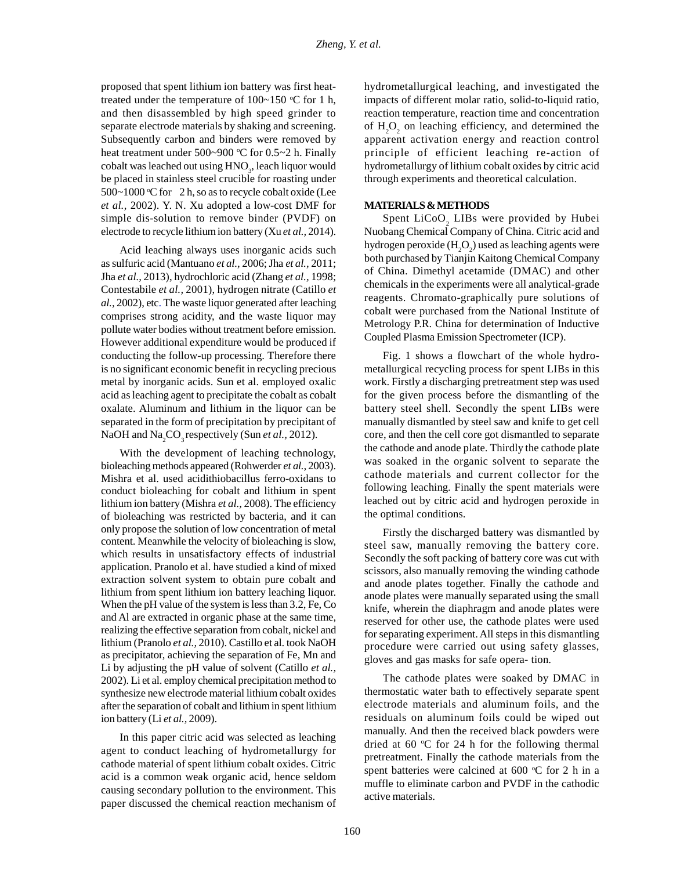proposed that spent lithium ion battery was first heattreated under the temperature of  $100~150$  °C for 1 h, and then disassembled by high speed grinder to separate electrode materials by shaking and screening. Subsequently carbon and binders were removed by heat treatment under  $500~900$  °C for  $0.5~2$  h. Finally cobalt was leached out using  $HNO_3$ , leach liquor would hybe placed in stainless steel crucible for roasting under  $500~1000$  °C for 2 h, so as to recycle cobalt oxide (Lee *et al.,* 2002). Y. N. Xu adopted a low-cost DMF for simple dis-solution to remove binder (PVDF) on electrode to recycle lithium ion battery (Xu *et al.,* 2014).

Acid leaching always uses inorganic acids such as sulfuric acid (Mantuano *et al.,* 2006; Jha *et al.,* 2011; Jha *et al.,* 2013), hydrochloric acid (Zhang *et al.,* 1998; Contestabile *et al.,* 2001), hydrogen nitrate (Catillo *et al.,* 2002), etc. The waste liquor generated after leaching comprises strong acidity, and the waste liquor may pollute water bodies without treatment before emission. However additional expenditure would be produced if conducting the follow-up processing. Therefore there is no significant economic benefit in recycling precious metal by inorganic acids. Sun et al. employed oxalic acid as leaching agent to precipitate the cobalt as cobalt oxalate. Aluminum and lithium in the liquor can be separated in the form of precipitation by precipitant of NaOH and Na<sub>2</sub>CO<sub>3</sub> respectively (Sun et al., 2012).

With the development of leaching technology, bioleaching methods appeared (Rohwerder *et al.,* 2003). Mishra et al. used acidithiobacillus ferro-oxidans to conduct bioleaching for cobalt and lithium in spent lithium ion battery (Mishra *et al.,* 2008). The efficiency of bioleaching was restricted by bacteria, and it can only propose the solution of low concentration of metal content. Meanwhile the velocity of bioleaching is slow, which results in unsatisfactory effects of industrial application. Pranolo et al. have studied a kind of mixed extraction solvent system to obtain pure cobalt and lithium from spent lithium ion battery leaching liquor. When the pH value of the system is less than 3.2, Fe, Co and Al are extracted in organic phase at the same time, realizing the effective separation from cobalt, nickel and lithium (Pranolo *et al.,* 2010). Castillo et al. took NaOH as precipitator, achieving the separation of Fe, Mn and Li by adjusting the pH value of solvent (Catillo *et al.,* 2002). Li et al. employ chemical precipitation method to synthesize new electrode material lithium cobalt oxides after the separation of cobalt and lithium in spent lithium ion battery (Li *et al.,* 2009).

In this paper citric acid was selected as leaching agent to conduct leaching of hydrometallurgy for cathode material of spent lithium cobalt oxides. Citric acid is a common weak organic acid, hence seldom causing secondary pollution to the environment. This paper discussed the chemical reaction mechanism of hydrometallurgical leaching, and investigated the impacts of different molar ratio, solid-to-liquid ratio, reaction temperature, reaction time and concentration of  $H_2O_2$  on leaching efficiency, and determined the apparent activation energy and reaction control principle of efficient leaching re-action of hydrometallurgy of lithium cobalt oxides by citric acid through experiments and theoretical calculation.

### **MATERIALS & METHODS**

Spent  $LiCoO<sub>2</sub>$  LIBs were provided by Hubei Nuobang Chemical Company of China. Citric acid and hydrogen peroxide  $(H<sub>2</sub>O<sub>2</sub>)$  used as leaching agents were both purchased by Tianjin Kaitong Chemical Company of China. Dimethyl acetamide (DMAC) and other chemicals in the experiments were all analytical-grade reagents. Chromato-graphically pure solutions of cobalt were purchased from the National Institute of Metrology P.R. China for determination of Inductive Coupled Plasma Emission Spectrometer (ICP).

Fig. 1 shows a flowchart of the whole hydrometallurgical recycling process for spent LIBs in this work. Firstly a discharging pretreatment step was used for the given process before the dismantling of the battery steel shell. Secondly the spent LIBs were manually dismantled by steel saw and knife to get cell core, and then the cell core got dismantled to separate the cathode and anode plate. Thirdly the cathode plate was soaked in the organic solvent to separate the cathode materials and current collector for the following leaching. Finally the spent materials were leached out by citric acid and hydrogen peroxide in the optimal conditions.

Firstly the discharged battery was dismantled by steel saw, manually removing the battery core. Secondly the soft packing of battery core was cut with scissors, also manually removing the winding cathode and anode plates together. Finally the cathode and anode plates were manually separated using the small knife, wherein the diaphragm and anode plates were reserved for other use, the cathode plates were used for separating experiment. All steps in this dismantling procedure were carried out using safety glasses, gloves and gas masks for safe opera- tion.

The cathode plates were soaked by DMAC in thermostatic water bath to effectively separate spent electrode materials and aluminum foils, and the residuals on aluminum foils could be wiped out manually. And then the received black powders were dried at 60  $\degree$ C for 24 h for the following thermal pretreatment. Finally the cathode materials from the spent batteries were calcined at  $600 \degree C$  for 2 h in a muffle to eliminate carbon and PVDF in the cathodic active materials.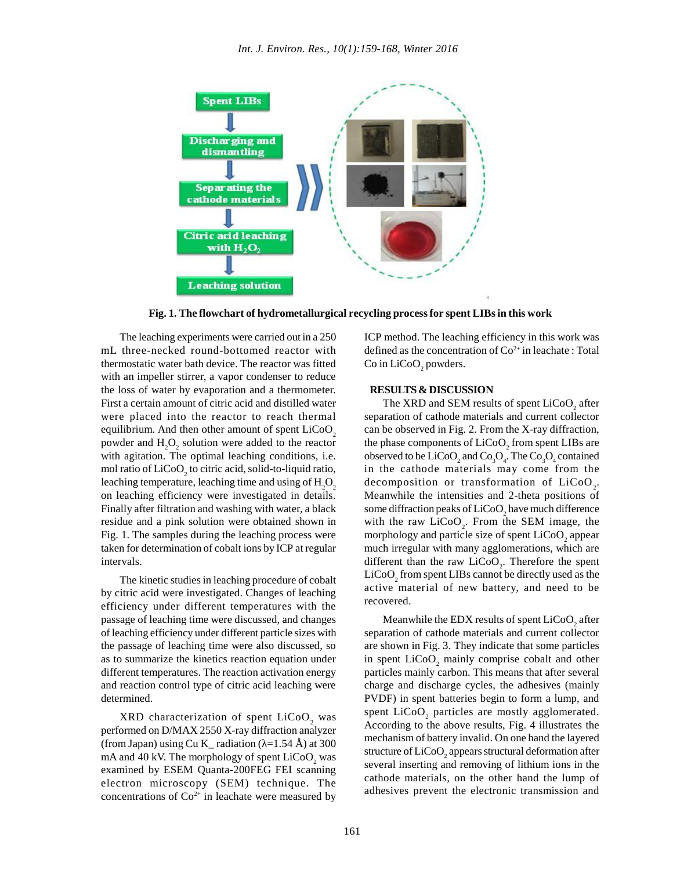

**Fig. 1. The flowchart of hydrometallurgical recycling process for spent LIBs in this work**

The leaching experiments were carried out in a 250 mL three-necked round-bottomed reactor with thermostatic water bath device. The reactor was fitted with an impeller stirrer, a vapor condenser to reduce the loss of water by evaporation and a thermometer. First a certain amount of citric acid and distilled water were placed into the reactor to reach thermal equilibrium. And then other amount of spent  $LiCoO<sub>2</sub>$ powder and  $H<sub>2</sub>O<sub>2</sub>$  solution were added to the reactor with agitation. The optimal leaching conditions, i.e. mol ratio of  $\rm LiCoO_2$  to citric acid, solid-to-liquid ratio, leaching temperature, leaching time and using of  $H_2O_2$ <br>on leaching efficiency were investigated in details. Finally after filtration and washing with water, a black residue and a pink solution were obtained shown in Fig. 1. The samples during the leaching process were taken for determination of cobalt ions by ICP at regular intervals.

The kinetic studies in leaching procedure of cobalt by citric acid were investigated. Changes of leaching efficiency under different temperatures with the passage of leaching time were discussed, and changes of leaching efficiency under different particle sizes with the passage of leaching time were also discussed, so as to summarize the kinetics reaction equation under different temperatures. The reaction activation energy and reaction control type of citric acid leaching were determined.

 $XRD$  characterization of spent  $LiCoO<sub>2</sub>$  was performed on D/MAX 2550 X-ray diffraction analyzer (from Japan) using Cu K\_ radiation ( $=1.54$  Å) at 300 mA and 40 kV. The morphology of spent  $LiCoO<sub>2</sub>$  was examined by ESEM Quanta-200FEG FEI scanning electron microscopy (SEM) technique. The concentrations of  $Co^{2+}$  in leachate were measured by

ICP method. The leaching efficiency in this work was defined as the concentration of  $Co<sup>2+</sup>$  in leachate : Total Co in  $LiCoO<sub>2</sub>$  powders.

#### **RESULTS & DISCUSSION**

The XRD and SEM results of spent  $\rm LiCoO_2$  after separation of cathode materials and current collector can be observed in Fig. 2. From the X-ray diffraction, the phase components of  $LiCoO<sub>2</sub>$  from spent LIBs are observed to be  $LiCoO_2$  and  $Co_3O_4$ . The  $Co_3O_4$  contained in the cathode materials may come from the decomposition or transformation of  $LiCoO_2$ . Meanwhile the intensities and 2-theta positions of some diffraction peaks of  $\rm LiCoO_2$  have much difference with the raw  $LiCoO<sub>2</sub>$ . From the SEM image, the morphology and particle size of spent  $LiCoO<sub>2</sub>$  appear much irregular with many agglomerations, which are different than the raw  $LiCoO<sub>2</sub>$ . Therefore the spent  $LiCoO<sub>2</sub>$  from spent LIBs cannot be directly used as the active material of new battery, and need to be recovered.

Meanwhile the EDX results of spent  $\rm LiCoO_{2}$  after separation of cathode materials and current collector are shown in Fig. 3. They indicate that some particles in spent  $LiCoO<sub>2</sub>$  mainly comprise cobalt and other particles mainly carbon. This means that after several charge and discharge cycles, the adhesives (mainly PVDF) in spent batteries begin to form a lump, and spent  $LiCoO<sub>2</sub>$  particles are mostly agglomerated. According to the above results, Fig. 4 illustrates the mechanism of battery invalid. On one hand the layered structure of  $\rm LiCoO_{2}$  appears structural deformation after several inserting and removing of lithium ions in the cathode materials, on the other hand the lump of adhesives prevent the electronic transmission and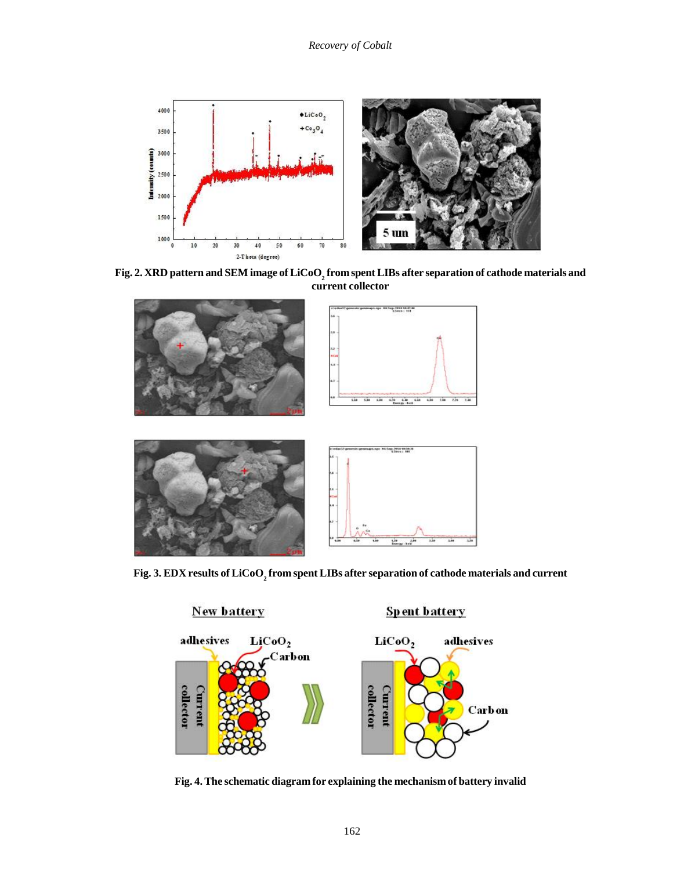

**Fig. 2. XRD pattern and SEM image of LiCoO<sup>2</sup> from spent LIBs after separation of cathode materials and current collector**



**Fig. 3. EDX results of LiCoO<sup>2</sup> from spent LIBs after separation of cathode materials and current**



**Fig. 4. The schematic diagram for explaining the mechanism of battery invalid**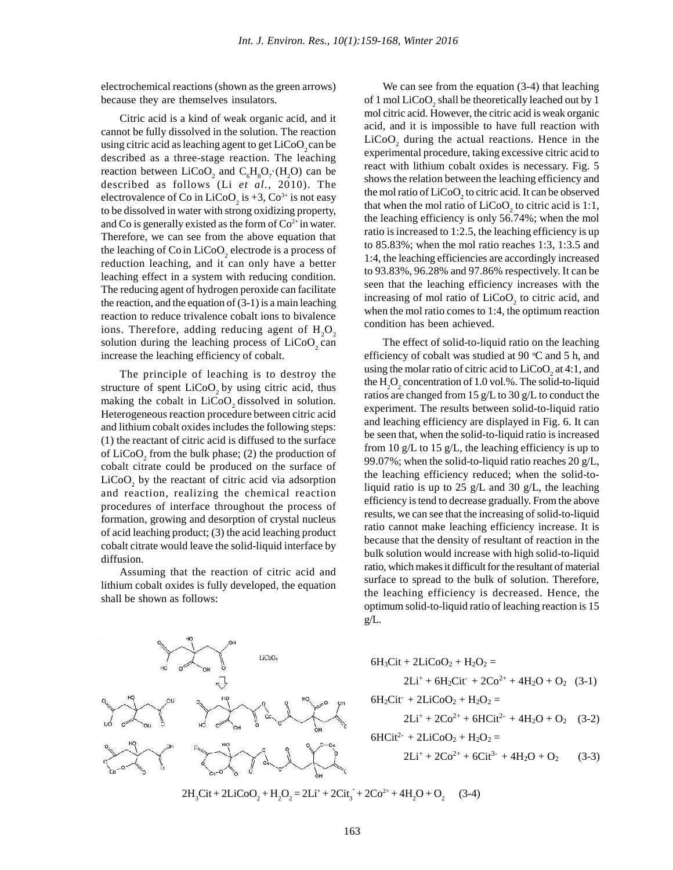electrochemical reactions (shown as the green arrows) because they are themselves insulators.

Citric acid is a kind of weak organic acid, and it cannot be fully dissolved in the solution. The reaction using citric acid as leaching agent to get LiCoO<sub>2</sub> can be described as a three-stage reaction. The leaching reaction between  $LiCoO_2$  and  $C_6H_8O_7$  (H<sub>2</sub>O) can be described as follows (Li *et al.,* 2010). The electrovalence of Co in LiCoO<sub>2</sub> is +3, Co<sup>3+</sup> is not easy to be dissolved in water with strong oxidizing property, and Co is generally existed as the form of  $Co<sup>2+</sup>$  in water. Therefore, we can see from the above equation that the leaching of Co in  $LiCoO_2$  electrode is a process of reduction leaching, and it can only have a better leaching effect in a system with reducing condition. The reducing agent of hydrogen peroxide can facilitate the reaction, and the equation of  $(3-1)$  is a main leaching reaction to reduce trivalence cobalt ions to bivalence ions. Therefore, adding reducing agent of  $H_2O_2$  solution during the leaching process of LiCoO<sub>2</sub> can increase the leaching efficiency of cobalt.

The principle of leaching is to destroy the structure of spent  $LiCoO<sub>a</sub>$  by using citric acid, thus making the cobalt in  $LiCoO<sub>2</sub>$  dissolved in solution. Heterogeneous reaction procedure between citric acid and lithium cobalt oxides includes the following steps: (1) the reactant of citric acid is diffused to the surface of  $LiCoO<sub>2</sub>$  from the bulk phase; (2) the production of cobalt citrate could be produced on the surface of  $\frac{33.67}{6}$ , which the solid-to-highli ratio calculates 20 g/L,  $LiCoO<sub>2</sub>$  by the reactant of citric acid via adsorption  $\frac{dE}{d\Omega}$ and reaction, realizing the chemical reaction procedures of interface throughout the process of formation, growing and desorption of crystal nucleus of acid leaching product; (3) the acid leaching product cobalt citrate would leave the solid-liquid interface by diffusion.

Assuming that the reaction of citric acid and lithium cobalt oxides is fully developed, the equation shall be shown as follows:



We can see from the equation (3-4) that leaching of 1 mol  $\rm LiCoO_{2}$  shall be theoretically leached out by 1 mol citric acid. However, the citric acid is weak organic acid, and it is impossible to have full reaction with  $LiCoO<sub>2</sub>$  during the actual reactions. Hence in the experimental procedure, taking excessive citric acid to react with lithium cobalt oxides is necessary. Fig. 5 shows the relation between the leaching efficiency and the mol ratio of  $\rm LiCoO_2$  to citric acid. It can be observed that when the mol ratio of  $LiCoO<sub>2</sub>$  to citric acid is 1:1, the leaching efficiency is only 56.74%; when the mol ratio is increased to 1:2.5, the leaching efficiency is up to 85.83%; when the mol ratio reaches 1:3, 1:3.5 and 1:4, the leaching efficiencies are accordingly increased to 93.83%, 96.28% and 97.86% respectively. It can be seen that the leaching efficiency increases with the increasing of mol ratio of  $LiCoO<sub>2</sub>$  to citric acid, and when the mol ratio comes to 1:4, the optimum reaction condition has been achieved.

The effect of solid-to-liquid ratio on the leaching efficiency of cobalt was studied at 90  $\degree$ C and 5 h, and using the molar ratio of citric acid to  $\rm LiCoO_{2}$  at 4:1, and the  $\rm H_2O_2$  concentration of 1.0 vol.%. The solid-to-liquid ratios are changed from 15 g/L to 30 g/L to conduct the experiment. The results between solid-to-liquid ratio and leaching efficiency are displayed in Fig. 6. It can be seen that, when the solid-to-liquid ratio is increased from 10 g/L to 15 g/L, the leaching efficiency is up to 99.07%; when the solid-to-liquid ratio reaches 20  $g/L$ , liquid ratio is up to 25 g/L and 30 g/L, the leaching efficiency is tend to decrease gradually. From the above results, we can see that the increasing of solid-to-liquid ratio cannot make leaching efficiency increase. It is because that the density of resultant of reaction in the bulk solution would increase with high solid-to-liquid ratio, which makes it difficult for the resultant of material surface to spread to the bulk of solution. Therefore, the leaching efficiency is decreased. Hence, the optimum solid-to-liquid ratio of leaching reaction is 15 g/L.

$$
6H_3Cit + 2LiCoO_2 + H_2O_2 =
$$
  
2Li<sup>+</sup> + 6H<sub>2</sub>Cit<sup>-</sup> + 2Co<sup>2+</sup> + 4H<sub>2</sub>O + O<sub>2</sub> (3-1)  
6H<sub>2</sub>Cit<sup>-</sup> + 2LiCoO<sub>2</sub> + H<sub>2</sub>O<sub>2</sub> =

$$
2Li^{+} + 2Co^{2+} + 6HCit^{2-} + 4H_{2}O + O_{2} \quad (3-2)
$$

 $6HCi^{2-} + 2LiCoO_2 + H_2O_2 =$ 

$$
2Li^{+} + 2Co^{2+} + 6Ci t^{3-} + 4H_2O + O_2 \qquad (3-3)
$$

 $2H_3Cit + 2LiCoO_2 + H_2O_2 = 2Li^+ + 2Cit_3^+ + 2Co^{2+} + 4H_2O + O_2$  (3) (3-4)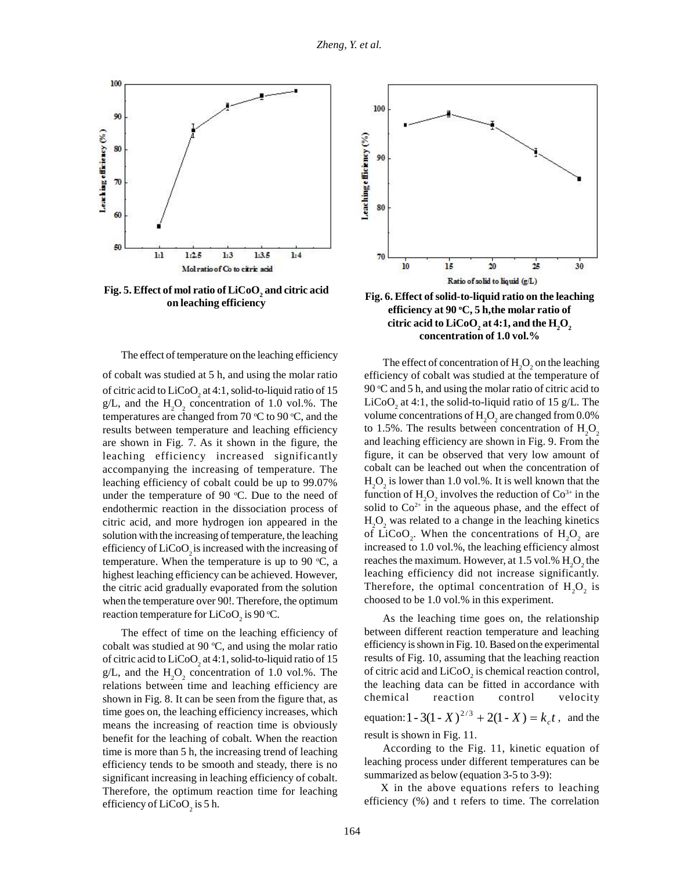

**Fig. 5.** Effect of mol ratio of  $LiCoO<sub>2</sub>$  and citric acid

The effect of temperature on the leaching efficiency

of cobalt was studied at 5 h, and using the molar ratio of citric acid to  $LiCoO<sub>2</sub>$  at 4:1, solid-to-liquid ratio of 15  $\qquad 90$ g/L, and the  $H_2O_2$  concentration of 1.0 vol.%. The Li temperatures are changed from 70  $\degree$ C to 90  $\degree$ C, and the results between temperature and leaching efficiency to  $1.5\%$ . The results between concentration of  $H<sub>2</sub>O<sub>2</sub>$ are shown in Fig. 7. As it shown in the figure, the leaching efficiency increased significantly accompanying the increasing of temperature. The leaching efficiency of cobalt could be up to 99.07% under the temperature of 90  $^{\circ}$ C. Due to the need of endothermic reaction in the dissociation process of citric acid, and more hydrogen ion appeared in the solution with the increasing of temperature, the leaching efficiency of  $LiCoO<sub>2</sub>$  is increased with the increasing of temperature. When the temperature is up to 90  $\degree$ C, a highest leaching efficiency can be achieved. However, the citric acid gradually evaporated from the solution when the temperature over 90!. Therefore, the optimum reaction temperature for  $LiCoO<sub>2</sub>$  is 90 °C.

The effect of time on the leaching efficiency of cobalt was studied at 90  $\degree$ C, and using the molar ratio of citric acid to  $LiCoO<sub>2</sub>$  at 4:1, solid-to-liquid ratio of 15 res g/L, and the  $H_2O_2$  concentration of 1.0 vol.%. The of relations between time and leaching efficiency are shown in Fig. 8. It can be seen from the figure that, as time goes on, the leaching efficiency increases, which means the increasing of reaction time is obviously benefit for the leaching of cobalt. When the reaction time is more than 5 h, the increasing trend of leaching efficiency tends to be smooth and steady, there is no significant increasing in leaching efficiency of cobalt. Therefore, the optimum reaction time for leaching efficiency of  $LiCoO<sub>2</sub>$  is 5 h.



**on leaching efficiency**<br>**Fig. 6. Effect of solid-to-liquid ratio on the leaching**<br>**Fig. 6.** Effect of solid-to-liquid ratio on the leaching **efficiency at 90 <sup>o</sup>C, 5 h,the molar ratio of citric acid to LiCoO**<sub>2</sub> at 4:1, and the  $\text{H}_{2}\text{O}_{2}$ <br> **concentration of 1.0 vol.%** 

The effect of concentration of  $H_2O_2$  on the leaching efficiency of cobalt was studied at the temperature of 90  $\degree$ C and 5 h, and using the molar ratio of citric acid to LiCoO<sub>2</sub> at 4:1, the solid-to-liquid ratio of 15 g/L. The volume concentrations of  $\rm{H_{2}O_{2}}$  are changed from  $0.0\%$ and leaching efficiency are shown in Fig. 9. From the figure, it can be observed that very low amount of cobalt can be leached out when the concentration of  $H_2O_2$  is lower than 1.0 vol.%. It is well known that the function of  $H_2O_2$  involves the reduction of  $Co^{3+}$  in the solid to  $Co^{2+}$  in the aqueous phase, and the effect of  $H_2O_2$  was related to a change in the leaching kinetics of LiCoO<sub>2</sub>. When the concentrations of  $H_2O_2$  are increased to 1.0 vol.%, the leaching efficiency almost reaches the maximum. However, at 1.5 vol.%  $H_2O_2$  the leaching efficiency did not increase significantly. Therefore, the optimal concentration of  $H_2O_2$  is choosed to be 1.0 vol.% in this experiment.

As the leaching time goes on, the relationship between different reaction temperature and leaching efficiency is shown in Fig. 10. Based on the experimental results of Fig. 10, assuming that the leaching reaction of citric acid and  $LiCoO<sub>2</sub>$  is chemical reaction control, the leaching data can be fitted in accordance with chemical reaction control velocity equation:  $1 - 3(1 - X)^{2/3} + 2(1 - X) = k_c t$ , and the result is shown in Fig. 11.

According to the Fig. 11, kinetic equation of leaching process under different temperatures can be summarized as below (equation 3-5 to 3-9):

X in the above equations refers to leaching efficiency (%) and t refers to time. The correlation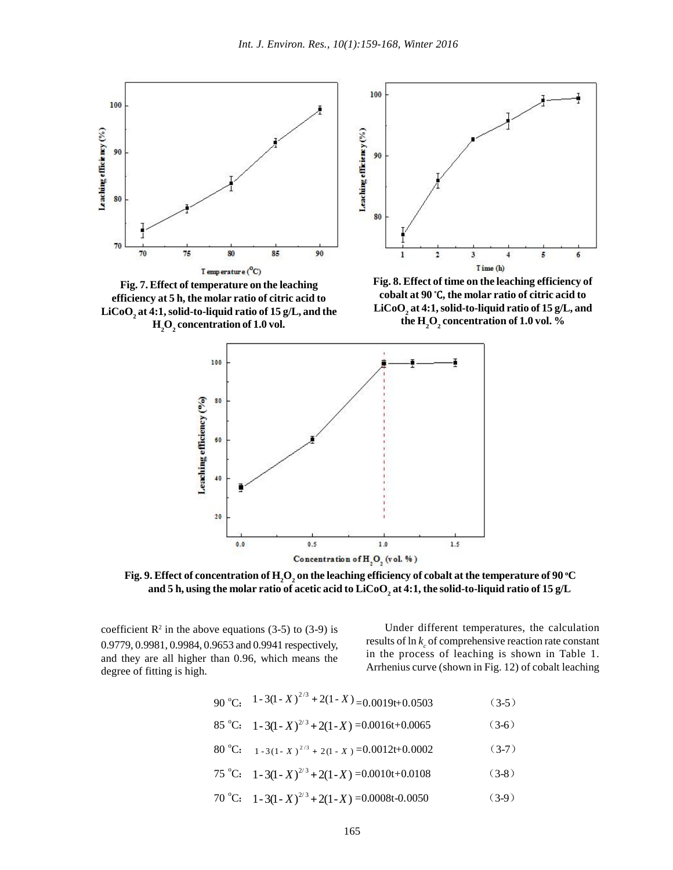

**Fig. 7. Effect of temperature on the leaching efficiency at 5 h, the molar ratio of citric acid to LiCoO<sup>2</sup> at 4:1,solid-to-liquid ratio of 15 g/L, and the H2O<sup>2</sup> concentration of 1.0 vol.**

**Fig. 8. Effect of time on the leaching efficiency of cobalt at 90 <sup>o</sup>C, the molar ratio of citric acid to LiCoO<sup>2</sup> at 4:1, solid-to-liquid ratio of 15 g/L, and the H2O<sup>2</sup> concentration of 1.0 vol. %**



**Fig. 9.** Effect of concentration of  $\mathrm{H}_2\mathrm{O}_2$  on the leaching efficiency of cobalt at the temperature of 90 °C **and 5 h, using the molar ratio of acetic acid to LiCoO<sup>2</sup> at 4:1, the solid-to-liquid ratio of 15 g/L**

coefficient  $\mathbb{R}^2$  in the above equations (3-5) to (3-9) is 0.9779, 0.9981, 0.9984, 0.9653 and 0.9941 respectively, and they are all higher than 0.96, which means the degree of fitting is high.

Under different temperatures, the calculation results of  $\ln k_c$  of comprehensive reaction rate constant in the process of leaching is shown in Table 1. Arrhenius curve (shown in Fig. 12) of cobalt leaching

- 90 °C:  $1-3(1-X)^{2/3} + 2(1-X) = 0.0019t+0.0503$  (3-5) 85 °C:  $1 - 3(1 - X)^{2/3} + 2(1 - X) = 0.0016t + 0.0065$  (3-6)  $80^{\circ}$ C:  $1 - 3(1 - X)^{2/3} + 2(1 - X) = 0.0012t + 0.0002$  (3-7) 75 °C:  $1 - 3(1 - X)^{2/3} + 2(1 - X) = 0.0010t + 0.0108$  (3-8)
- 70 °C:  $1 3(1 X)^{2/3} + 2(1 X) = 0.0008t 0.0050$  (3-9)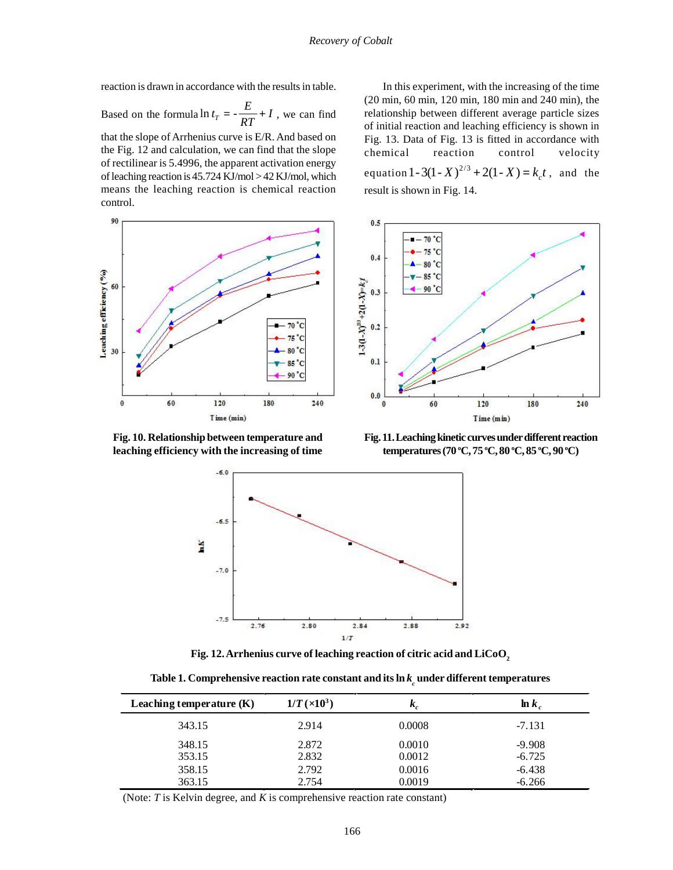reaction is drawn in accordance with the results in table.

Based on the formula  $\ln t_T = -\frac{E}{2E} + I$ , we can find relationship between different that the slope of Arrhenius curve is E/R. And based on the Fig. 12 and calculation, we can find that the slope of rectilinear is 5.4996, the apparent activation energy of leaching reaction is 45.724 KJ/mol > 42 KJ/mol, which means the leaching reaction is chemical reaction control.



**Fig. 10. Relationship between temperature and leaching efficiency with the increasing of time**

*RT* <sup>of</sup> initial reaction and leaching efficiency is shown in  $\ln t_T = -\frac{E}{RT} + I$ , we can find relationship between different average particle sizes In this experiment, with the increasing of the time (20 min, 60 min, 120 min, 180 min and 240 min), the Fig. 13. Data of Fig. 13 is fitted in accordance with chemical reaction control velocity equation  $1 - 3(1 - X)^{2/3} + 2(1 - X) = k_c t$ , and the result is shown in Fig. 14.



**Fig. 11. Leaching kinetic curves under different reaction temperatures (70 <sup>o</sup>C, 75 <sup>o</sup>C, 80 <sup>o</sup>C, 85 <sup>o</sup>C, 90 <sup>o</sup>C)**



**Fig. 12. Arrhenius curve of leaching reaction of citric acid and LiCoO2**

| Table 1. Comprehensive reaction rate constant and its $\ln k_{\scriptscriptstyle \perp}$ under different temperatures |  |
|-----------------------------------------------------------------------------------------------------------------------|--|
|                                                                                                                       |  |

| Leaching temperature $(K)$ | $1/T \times 10^3$ | K,     | $\ln k_a$ |
|----------------------------|-------------------|--------|-----------|
| 343.15                     | 2.914             | 0.0008 | $-7.131$  |
| 348.15                     | 2.872             | 0.0010 | $-9.908$  |
| 353.15                     | 2.832             | 0.0012 | $-6.725$  |
| 358.15                     | 2.792             | 0.0016 | $-6.438$  |
| 363.15                     | 2.754             | 0.0019 | $-6.266$  |

(Note: *T* is Kelvin degree, and *K* is comprehensive reaction rate constant)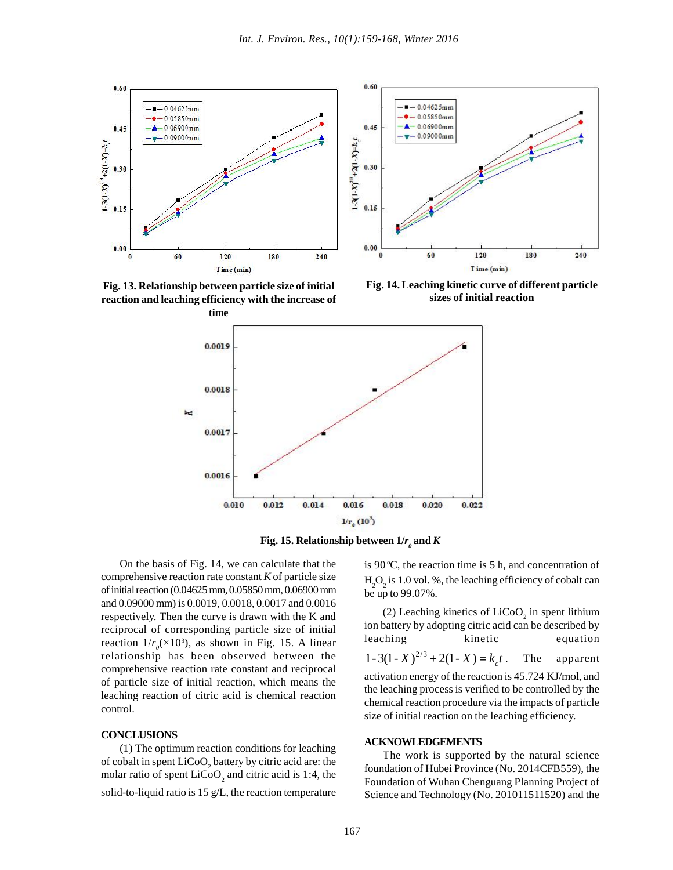

**Fig. 13. Relationship between particle size of initial reaction and leaching efficiency with the increase of**

**Fig. 14. Leaching kinetic curve of different particle sizes of initial reaction**





On the basis of Fig. 14, we can calculate that the comprehensive reaction rate constant *K* of particle size of initial reaction (0.04625 mm, 0.05850 mm, 0.06900 mm and 0.09000 mm) is 0.0019, 0.0018, 0.0017 and 0.0016 respectively. Then the curve is drawn with the K and reciprocal of corresponding particle size of initial reaction  $1/r_0 \approx 10^3$ ), as shown in Fig. 15. A linear relationship has been observed between the comprehensive reaction rate constant and reciprocal of particle size of initial reaction, which means the leaching reaction of citric acid is chemical reaction control.

#### **CONCLUSIONS**

(1) The optimum reaction conditions for leaching of cobalt in spent  $LiCoO<sub>2</sub>$  battery by citric acid are: the molar ratio of spent  $LiCoO<sub>2</sub>$  and citric acid is 1:4, the solid-to-liquid ratio is 15 g/L, the reaction temperature

is 90 $\degree$ C, the reaction time is 5 h, and concentration of  $H_2O_2$  is 1.0 vol. %, the leaching efficiency of cobalt can be up to 99.07%.

(2) Leaching kinetics of  $LiCoO<sub>2</sub>$  in spent lithium ion battery by adopting citric acid can be described by leaching kinetic equation  $X(1-X)^{2/3} + 2(1-X) = k_c t$ . The apparent apparent activation energy of the reaction is 45.724 KJ/mol, and the leaching process is verified to be controlled by the chemical reaction procedure via the impacts of particle size of initial reaction on the leaching efficiency.

#### **ACKNOWLEDGEMENTS**

The work is supported by the natural science foundation of Hubei Province (No. 2014CFB559), the Foundation of Wuhan Chenguang Planning Project of Science and Technology (No. 201011511520) and the